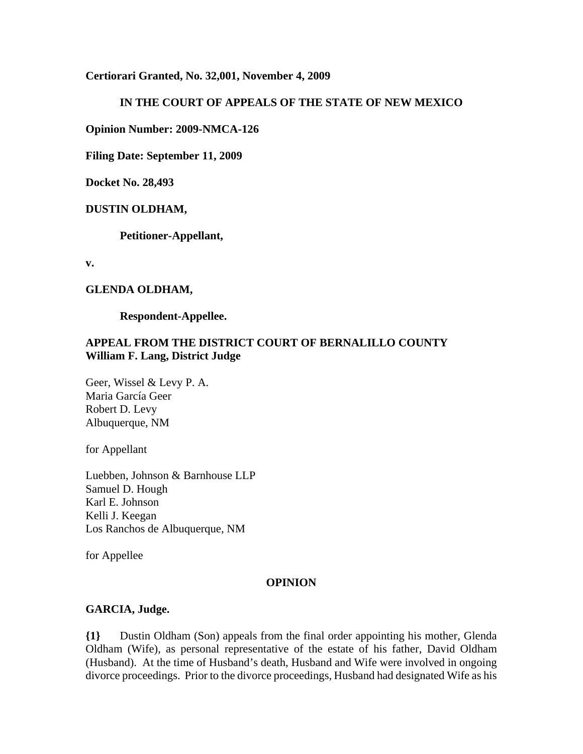**Certiorari Granted, No. 32,001, November 4, 2009**

### **IN THE COURT OF APPEALS OF THE STATE OF NEW MEXICO**

**Opinion Number: 2009-NMCA-126**

**Filing Date: September 11, 2009**

**Docket No. 28,493**

#### **DUSTIN OLDHAM,**

**Petitioner-Appellant,**

**v.**

#### **GLENDA OLDHAM,**

**Respondent-Appellee.**

## **APPEAL FROM THE DISTRICT COURT OF BERNALILLO COUNTY William F. Lang, District Judge**

Geer, Wissel & Levy P. A. Maria García Geer Robert D. Levy Albuquerque, NM

for Appellant

Luebben, Johnson & Barnhouse LLP Samuel D. Hough Karl E. Johnson Kelli J. Keegan Los Ranchos de Albuquerque, NM

for Appellee

#### **OPINION**

#### **GARCIA, Judge.**

**{1}** Dustin Oldham (Son) appeals from the final order appointing his mother, Glenda Oldham (Wife), as personal representative of the estate of his father, David Oldham (Husband). At the time of Husband's death, Husband and Wife were involved in ongoing divorce proceedings. Prior to the divorce proceedings, Husband had designated Wife as his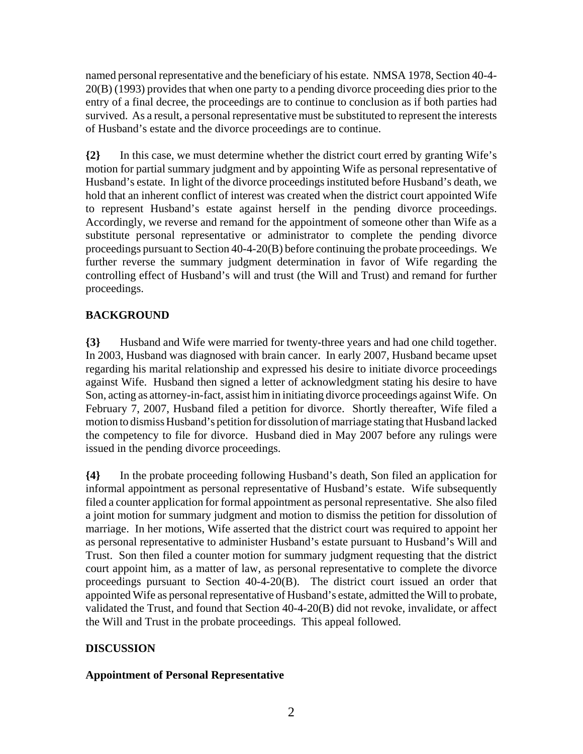named personal representative and the beneficiary of his estate. NMSA 1978, Section 40-4- 20(B) (1993) provides that when one party to a pending divorce proceeding dies prior to the entry of a final decree, the proceedings are to continue to conclusion as if both parties had survived. As a result, a personal representative must be substituted to represent the interests of Husband's estate and the divorce proceedings are to continue.

**{2}** In this case, we must determine whether the district court erred by granting Wife's motion for partial summary judgment and by appointing Wife as personal representative of Husband's estate. In light of the divorce proceedings instituted before Husband's death, we hold that an inherent conflict of interest was created when the district court appointed Wife to represent Husband's estate against herself in the pending divorce proceedings. Accordingly, we reverse and remand for the appointment of someone other than Wife as a substitute personal representative or administrator to complete the pending divorce proceedings pursuant to Section 40-4-20(B) before continuing the probate proceedings. We further reverse the summary judgment determination in favor of Wife regarding the controlling effect of Husband's will and trust (the Will and Trust) and remand for further proceedings.

## **BACKGROUND**

**{3}** Husband and Wife were married for twenty-three years and had one child together. In 2003, Husband was diagnosed with brain cancer. In early 2007, Husband became upset regarding his marital relationship and expressed his desire to initiate divorce proceedings against Wife. Husband then signed a letter of acknowledgment stating his desire to have Son, acting as attorney-in-fact, assist him in initiating divorce proceedings against Wife. On February 7, 2007, Husband filed a petition for divorce. Shortly thereafter, Wife filed a motion to dismiss Husband's petition for dissolution of marriage stating that Husband lacked the competency to file for divorce. Husband died in May 2007 before any rulings were issued in the pending divorce proceedings.

**{4}** In the probate proceeding following Husband's death, Son filed an application for informal appointment as personal representative of Husband's estate. Wife subsequently filed a counter application for formal appointment as personal representative. She also filed a joint motion for summary judgment and motion to dismiss the petition for dissolution of marriage. In her motions, Wife asserted that the district court was required to appoint her as personal representative to administer Husband's estate pursuant to Husband's Will and Trust. Son then filed a counter motion for summary judgment requesting that the district court appoint him, as a matter of law, as personal representative to complete the divorce proceedings pursuant to Section 40-4-20(B). The district court issued an order that appointed Wife as personal representative of Husband's estate, admitted the Will to probate, validated the Trust, and found that Section 40-4-20(B) did not revoke, invalidate, or affect the Will and Trust in the probate proceedings. This appeal followed.

## **DISCUSSION**

### **Appointment of Personal Representative**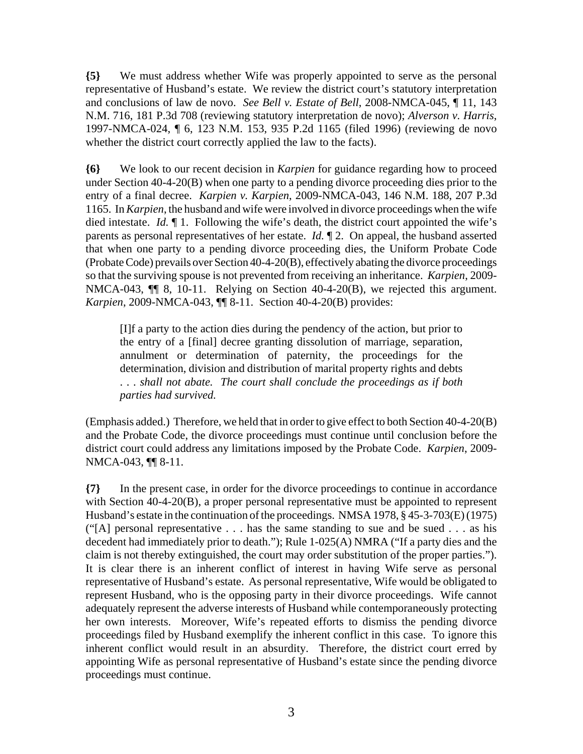**{5}** We must address whether Wife was properly appointed to serve as the personal representative of Husband's estate. We review the district court's statutory interpretation and conclusions of law de novo. *See Bell v. Estate of Bell*, 2008-NMCA-045, ¶ 11, 143 N.M. 716, 181 P.3d 708 (reviewing statutory interpretation de novo); *Alverson v. Harris*, 1997-NMCA-024, ¶ 6, 123 N.M. 153, 935 P.2d 1165 (filed 1996) (reviewing de novo whether the district court correctly applied the law to the facts).

**{6}** We look to our recent decision in *Karpien* for guidance regarding how to proceed under Section 40-4-20(B) when one party to a pending divorce proceeding dies prior to the entry of a final decree. *Karpien v. Karpien*, 2009-NMCA-043, 146 N.M. 188, 207 P.3d 1165. In *Karpien*, the husband and wife were involved in divorce proceedings when the wife died intestate. *Id.* ¶ 1. Following the wife's death, the district court appointed the wife's parents as personal representatives of her estate. *Id.* ¶ 2. On appeal, the husband asserted that when one party to a pending divorce proceeding dies, the Uniform Probate Code (Probate Code) prevails over Section 40-4-20(B), effectively abating the divorce proceedings so that the surviving spouse is not prevented from receiving an inheritance. *Karpien*, 2009- NMCA-043,  $\P$  8, 10-11. Relying on Section 40-4-20(B), we rejected this argument. *Karpien*, 2009-NMCA-043, ¶¶ 8-11. Section 40-4-20(B) provides:

[I]f a party to the action dies during the pendency of the action, but prior to the entry of a [final] decree granting dissolution of marriage, separation, annulment or determination of paternity, the proceedings for the determination, division and distribution of marital property rights and debts . . . *shall not abate. The court shall conclude the proceedings as if both parties had survived.*

(Emphasis added.) Therefore, we held that in order to give effect to both Section 40-4-20(B) and the Probate Code, the divorce proceedings must continue until conclusion before the district court could address any limitations imposed by the Probate Code. *Karpien*, 2009- NMCA-043, ¶¶ 8-11.

**{7}** In the present case, in order for the divorce proceedings to continue in accordance with Section 40-4-20(B), a proper personal representative must be appointed to represent Husband's estate in the continuation of the proceedings. NMSA 1978, § 45-3-703(E) (1975) ("[A] personal representative  $\dots$  has the same standing to sue and be sued  $\dots$  as his decedent had immediately prior to death."); Rule 1-025(A) NMRA ("If a party dies and the claim is not thereby extinguished, the court may order substitution of the proper parties."). It is clear there is an inherent conflict of interest in having Wife serve as personal representative of Husband's estate. As personal representative, Wife would be obligated to represent Husband, who is the opposing party in their divorce proceedings. Wife cannot adequately represent the adverse interests of Husband while contemporaneously protecting her own interests. Moreover, Wife's repeated efforts to dismiss the pending divorce proceedings filed by Husband exemplify the inherent conflict in this case. To ignore this inherent conflict would result in an absurdity. Therefore, the district court erred by appointing Wife as personal representative of Husband's estate since the pending divorce proceedings must continue.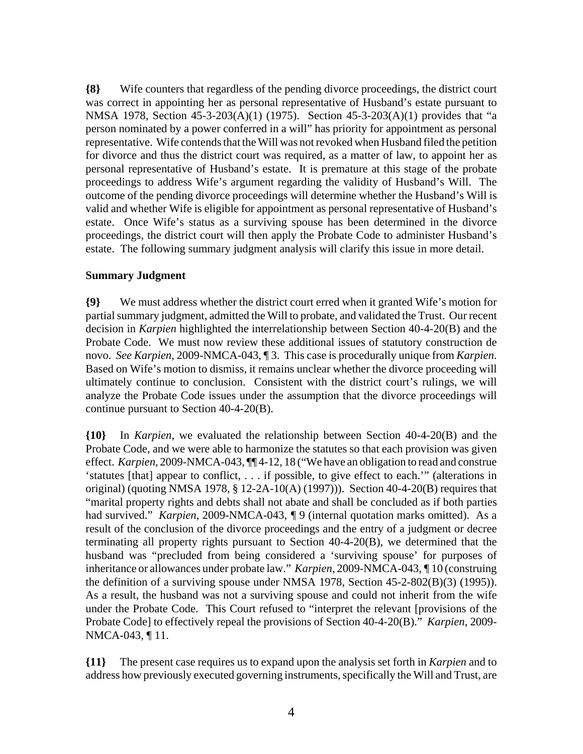**{8}** Wife counters that regardless of the pending divorce proceedings, the district court was correct in appointing her as personal representative of Husband's estate pursuant to NMSA 1978, Section 45-3-203(A)(1) (1975). Section 45-3-203(A)(1) provides that "a person nominated by a power conferred in a will" has priority for appointment as personal representative. Wife contends that the Will was not revoked when Husband filed the petition for divorce and thus the district court was required, as a matter of law, to appoint her as personal representative of Husband's estate. It is premature at this stage of the probate proceedings to address Wife's argument regarding the validity of Husband's Will. The outcome of the pending divorce proceedings will determine whether the Husband's Will is valid and whether Wife is eligible for appointment as personal representative of Husband's estate. Once Wife's status as a surviving spouse has been determined in the divorce proceedings, the district court will then apply the Probate Code to administer Husband's estate. The following summary judgment analysis will clarify this issue in more detail.

#### **Summary Judgment**

**{9}** We must address whether the district court erred when it granted Wife's motion for partial summary judgment, admitted the Will to probate, and validated the Trust. Our recent decision in *Karpien* highlighted the interrelationship between Section 40-4-20(B) and the Probate Code. We must now review these additional issues of statutory construction de novo. *See Karpien,* 2009-NMCA-043, ¶ 3. This case is procedurally unique from *Karpien*. Based on Wife's motion to dismiss, it remains unclear whether the divorce proceeding will ultimately continue to conclusion. Consistent with the district court's rulings, we will analyze the Probate Code issues under the assumption that the divorce proceedings will continue pursuant to Section 40-4-20(B).

**{10}** In *Karpien*, we evaluated the relationship between Section 40-4-20(B) and the Probate Code, and we were able to harmonize the statutes so that each provision was given effect. *Karpien*, 2009-NMCA-043, ¶¶ 4-12, 18 ("We have an obligation to read and construe 'statutes [that] appear to conflict, . . . if possible, to give effect to each.'" (alterations in original) (quoting NMSA 1978, § 12-2A-10(A) (1997))). Section 40-4-20(B) requires that "marital property rights and debts shall not abate and shall be concluded as if both parties had survived." *Karpien*, 2009-NMCA-043, *¶* 9 (internal quotation marks omitted). As a result of the conclusion of the divorce proceedings and the entry of a judgment or decree terminating all property rights pursuant to Section 40-4-20(B), we determined that the husband was "precluded from being considered a 'surviving spouse' for purposes of inheritance or allowances under probate law." *Karpien*, 2009-NMCA-043, *¶* 10 (construing the definition of a surviving spouse under NMSA 1978, Section 45-2-802(B)(3) (1995)). As a result, the husband was not a surviving spouse and could not inherit from the wife under the Probate Code. This Court refused to "interpret the relevant [provisions of the Probate Code] to effectively repeal the provisions of Section 40-4-20(B)." *Karpien*, 2009- NMCA-043, ¶ 11.

**{11}** The present case requires us to expand upon the analysis set forth in *Karpien* and to address how previously executed governing instruments, specifically the Will and Trust, are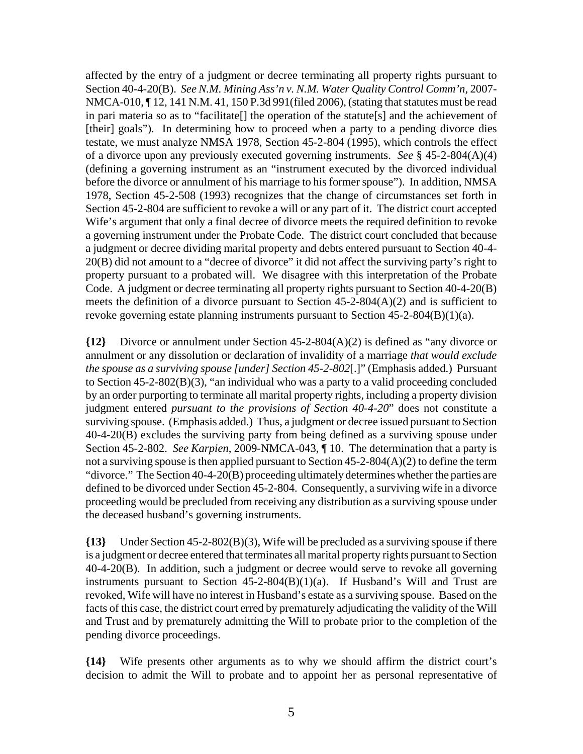affected by the entry of a judgment or decree terminating all property rights pursuant to Section 40-4-20(B). *See N.M. Mining Ass'n v. N.M. Water Quality Control Comm'n,* 2007- NMCA-010, ¶ 12, 141 N.M. 41, 150 P.3d 991(filed 2006), (stating that statutes must be read in pari materia so as to "facilitate[] the operation of the statute[s] and the achievement of [their] goals"). In determining how to proceed when a party to a pending divorce dies testate, we must analyze NMSA 1978, Section 45-2-804 (1995), which controls the effect of a divorce upon any previously executed governing instruments. *See* § 45-2-804(A)(4) (defining a governing instrument as an "instrument executed by the divorced individual before the divorce or annulment of his marriage to his former spouse"). In addition, NMSA 1978, Section 45-2-508 (1993) recognizes that the change of circumstances set forth in Section 45-2-804 are sufficient to revoke a will or any part of it. The district court accepted Wife's argument that only a final decree of divorce meets the required definition to revoke a governing instrument under the Probate Code. The district court concluded that because a judgment or decree dividing marital property and debts entered pursuant to Section 40-4- 20(B) did not amount to a "decree of divorce" it did not affect the surviving party's right to property pursuant to a probated will. We disagree with this interpretation of the Probate Code. A judgment or decree terminating all property rights pursuant to Section 40-4-20(B) meets the definition of a divorce pursuant to Section 45-2-804(A)(2) and is sufficient to revoke governing estate planning instruments pursuant to Section 45-2-804(B)(1)(a).

**{12}** Divorce or annulment under Section 45-2-804(A)(2) is defined as "any divorce or annulment or any dissolution or declaration of invalidity of a marriage *that would exclude the spouse as a surviving spouse [under] Section 45-2-802*[.]" (Emphasis added.) Pursuant to Section 45-2-802(B)(3), "an individual who was a party to a valid proceeding concluded by an order purporting to terminate all marital property rights, including a property division judgment entered *pursuant to the provisions of Section 40-4-20*" does not constitute a surviving spouse. (Emphasis added.) Thus, a judgment or decree issued pursuant to Section 40-4-20(B) excludes the surviving party from being defined as a surviving spouse under Section 45-2-802. *See Karpien*, 2009-NMCA-043, ¶ 10. The determination that a party is not a surviving spouse is then applied pursuant to Section 45-2-804(A)(2) to define the term "divorce." The Section 40-4-20(B) proceeding ultimately determines whether the parties are defined to be divorced under Section 45-2-804. Consequently, a surviving wife in a divorce proceeding would be precluded from receiving any distribution as a surviving spouse under the deceased husband's governing instruments.

**{13}** Under Section 45-2-802(B)(3), Wife will be precluded as a surviving spouse if there is a judgment or decree entered that terminates all marital property rights pursuant to Section 40-4-20(B). In addition, such a judgment or decree would serve to revoke all governing instruments pursuant to Section  $45-2-804(B)(1)(a)$ . If Husband's Will and Trust are revoked, Wife will have no interest in Husband's estate as a surviving spouse. Based on the facts of this case, the district court erred by prematurely adjudicating the validity of the Will and Trust and by prematurely admitting the Will to probate prior to the completion of the pending divorce proceedings.

**{14}** Wife presents other arguments as to why we should affirm the district court's decision to admit the Will to probate and to appoint her as personal representative of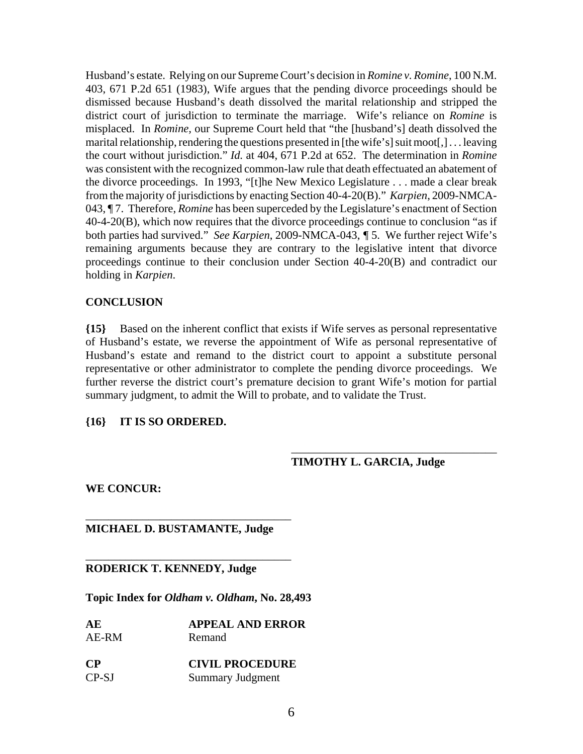Husband's estate. Relying on our Supreme Court's decision in *Romine v. Romine*, 100 N.M. 403, 671 P.2d 651 (1983), Wife argues that the pending divorce proceedings should be dismissed because Husband's death dissolved the marital relationship and stripped the district court of jurisdiction to terminate the marriage. Wife's reliance on *Romine* is misplaced. In *Romine,* our Supreme Court held that "the [husband's] death dissolved the marital relationship, rendering the questions presented in [the wife's] suit moot[,] . . . leaving the court without jurisdiction." *Id.* at 404, 671 P.2d at 652. The determination in *Romine* was consistent with the recognized common-law rule that death effectuated an abatement of the divorce proceedings. In 1993, "[t]he New Mexico Legislature . . . made a clear break from the majority of jurisdictions by enacting Section 40-4-20(B)." *Karpien*, 2009-NMCA-043, ¶ 7. Therefore, *Romine* has been superceded by the Legislature's enactment of Section 40-4-20(B), which now requires that the divorce proceedings continue to conclusion "as if both parties had survived." *See Karpien*, 2009-NMCA-043, *¶* 5. We further reject Wife's remaining arguments because they are contrary to the legislative intent that divorce proceedings continue to their conclusion under Section 40-4-20(B) and contradict our holding in *Karpien*.

#### **CONCLUSION**

**{15}** Based on the inherent conflict that exists if Wife serves as personal representative of Husband's estate, we reverse the appointment of Wife as personal representative of Husband's estate and remand to the district court to appoint a substitute personal representative or other administrator to complete the pending divorce proceedings. We further reverse the district court's premature decision to grant Wife's motion for partial summary judgment, to admit the Will to probate, and to validate the Trust.

#### **{16} IT IS SO ORDERED.**

#### **TIMOTHY L. GARCIA, Judge**

\_\_\_\_\_\_\_\_\_\_\_\_\_\_\_\_\_\_\_\_\_\_\_\_\_\_\_\_\_\_\_\_\_\_\_\_

**WE CONCUR:**

#### **MICHAEL D. BUSTAMANTE, Judge**

\_\_\_\_\_\_\_\_\_\_\_\_\_\_\_\_\_\_\_\_\_\_\_\_\_\_\_\_\_\_\_\_\_\_\_\_

\_\_\_\_\_\_\_\_\_\_\_\_\_\_\_\_\_\_\_\_\_\_\_\_\_\_\_\_\_\_\_\_\_\_\_\_

#### **RODERICK T. KENNEDY, Judge**

**Topic Index for** *Oldham v. Oldham***, No. 28,493**

| AЕ    | <b>APPEAL AND ERROR</b> |
|-------|-------------------------|
| AE-RM | Remand                  |

| CР    | <b>CIVIL PROCEDURE</b> |
|-------|------------------------|
| CP-SJ | Summary Judgment       |